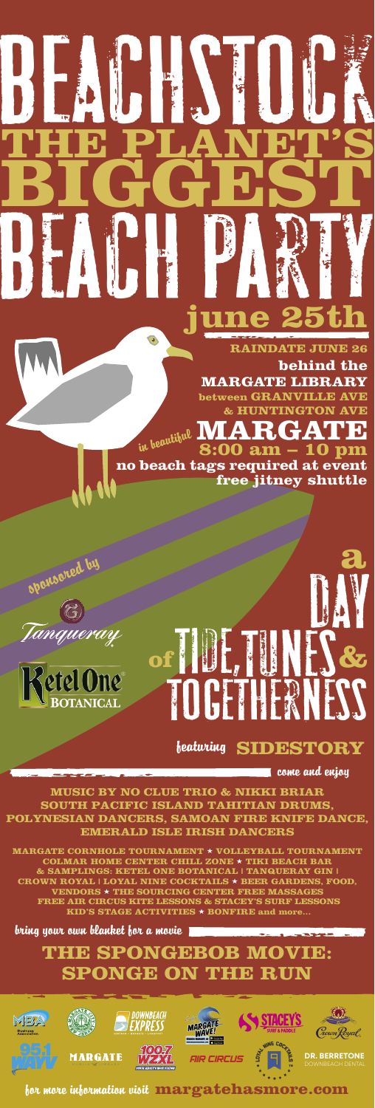# PAUL, UNIT  $\boldsymbol{J}$ **of &**

**a**

come and enjoy

## **THE SPONGEBOB MOVIE: SPONGE ON THE RUN**







**behind the MARGATE LIBRARY between GRANVILLE AV BELOINA ANGELICA KOJNA AVER** in beautiful 1717110 G7ATI B

bring your own blanket for a movie

**THE PLANET'S**

**BIGGEST** 

 $\bullet$ 



BEACH PARTY **june 25th**

 **RAINDATE JUNE 26**

**8:00 am – 10 pm**

**no beach tags required at event free jitney shuttle**

BEACHSTOCK

#### for more information visit **margatehasmore.com**

**MUSIC BY NO CLUE TRIO & NIKKI BRIAR SOUTH PACIFIC ISLAND TAHITIAN DRUMS, POLYNESIAN DANCERS, SAMOAN FIRE KNIFE DANCE, EMERALD ISLE IRISH DANCERS**

### featuring **SIDESTORY**

sponsored by



**MARGATE CORNHOLE TOURNAMENT** ★ **VOLLEYBALL TOURNAMENT COLMAR HOME CENTER CHILL ZONE** ★ **TIKI BEACH BAR & SAMPLINGS: KETEL ONE BOTANICAL | TANQUERAY GIN | CROWN ROYAL | LOYAL NINE COCKTAILS** ★ **BEER GARDENS, FOOD, VENDORS** ★ **THE SOURCING CENTER FREE MASSAGES FREE AIR CIRCUS KITE LESSONS & STACEY'S SURF LESSONS KID'S STAGE ACTIVITIES** ★ **BONFIRE and more...**









#### MARGA PUBLIC X LIBRARY



#### DOWNBEACH DENTAL